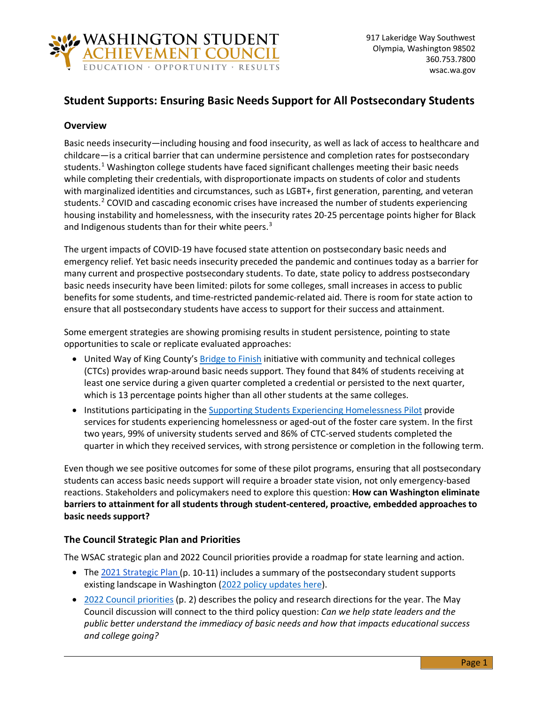

# **Student Supports: Ensuring Basic Needs Support for All Postsecondary Students**

### **Overview**

Basic needs insecurity—including housing and food insecurity, as well as lack of access to healthcare and childcare—is a critical barrier that can undermine persistence and completion rates for postsecondary students.<sup>[1](#page-1-0)</sup> Washington college students have faced significant challenges meeting their basic needs while completing their credentials, with disproportionate impacts on students of color and students with marginalized identities and circumstances, such as LGBT+, first generation, parenting, and veteran students.<sup>[2](#page-1-1)</sup> COVID and cascading economic crises have increased the number of students experiencing housing instability and homelessness, with the insecurity rates 20-25 percentage points higher for Black and Indigenous students than for their white peers.<sup>[3](#page-1-2)</sup>

The urgent impacts of COVID-19 have focused state attention on postsecondary basic needs and emergency relief. Yet basic needs insecurity preceded the pandemic and continues today as a barrier for many current and prospective postsecondary students. To date, state policy to address postsecondary basic needs insecurity have been limited: pilots for some colleges, small increases in access to public benefits for some students, and time-restricted pandemic-related aid. There is room for state action to ensure that all postsecondary students have access to support for their success and attainment.

Some emergent strategies are showing promising results in student persistence, pointing to state opportunities to scale or replicate evaluated approaches:

- United Way of King County's **Bridge to Finish** initiative with community and technical colleges (CTCs) provides wrap-around basic needs support. They found that 84% of students receiving at least one service during a given quarter completed a credential or persisted to the next quarter, which is 13 percentage points higher than all other students at the same colleges.
- Institutions participating in the [Supporting Students Experiencing Homelessness Pilot](https://wsac.wa.gov/sites/default/files/2021-12-Supporting-Students-Experiencing-Homelessness-Pilot-Year-Two.pdf) provide services for students experiencing homelessness or aged-out of the foster care system. In the first two years, 99% of university students served and 86% of CTC-served students completed the quarter in which they received services, with strong persistence or completion in the following term.

Even though we see positive outcomes for some of these pilot programs, ensuring that all postsecondary students can access basic needs support will require a broader state vision, not only emergency-based reactions. Stakeholders and policymakers need to explore this question: **How can Washington eliminate barriers to attainment for all students through student-centered, proactive, embedded approaches to basic needs support?**

## **The Council Strategic Plan and Priorities**

The WSAC strategic plan and 2022 Council priorities provide a roadmap for state learning and action.

- Th[e 2021 Strategic Plan \(](https://wsac.wa.gov/sites/default/files/2021-Strategic-Action-Plan.pdf)p. 10-11) includes a summary of the postsecondary student supports existing landscape in Washington [\(2022 policy updates here\)](https://wsac.wa.gov/student-supports#2022-policy-updates).
- [2022 Council priorities](https://wsac.wa.gov/sites/default/files/2022-01-24-0121-Priorities-Brief.pdf) (p. 2) describes the policy and research directions for the year. The May Council discussion will connect to the third policy question: *Can we help state leaders and the public better understand the immediacy of basic needs and how that impacts educational success and college going?*